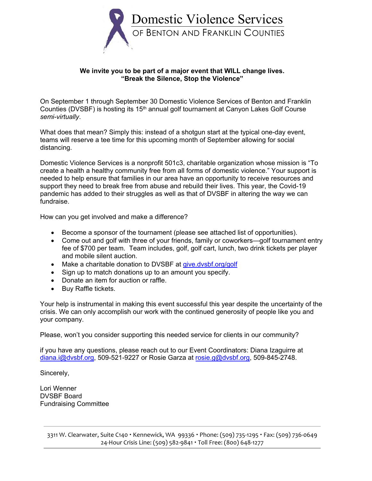

#### **We invite you to be part of a major event that WILL change lives. "Break the Silence, Stop the Violence"**

On September 1 through September 30 Domestic Violence Services of Benton and Franklin Counties (DVSBF) is hosting its 15<sup>th</sup> annual golf tournament at Canyon Lakes Golf Course *semi-virtually*.

What does that mean? Simply this: instead of a shotgun start at the typical one-day event, teams will reserve a tee time for this upcoming month of September allowing for social distancing.

Domestic Violence Services is a nonprofit 501c3, charitable organization whose mission is "To create a health a healthy community free from all forms of domestic violence." Your support is needed to help ensure that families in our area have an opportunity to receive resources and support they need to break free from abuse and rebuild their lives. This year, the Covid-19 pandemic has added to their struggles as well as that of DVSBF in altering the way we can fundraise.

How can you get involved and make a difference?

- Become a sponsor of the tournament (please see attached list of opportunities).
- Come out and golf with three of your friends, family or coworkers—golf tournament entry fee of \$700 per team. Team includes, golf, golf cart, lunch, two drink tickets per player and mobile silent auction.
- Make a charitable donation to DVSBF at [give.dvsbf.org/golf](http://give.dvsbf.org/golf)
- Sign up to match donations up to an amount you specify.
- Donate an item for auction or raffle.
- Buy Raffle tickets.

Your help is instrumental in making this event successful this year despite the uncertainty of the crisis. We can only accomplish our work with the continued generosity of people like you and your company.

Please, won't you consider supporting this needed service for clients in our community?

if you have any questions, please reach out to our Event Coordinators: Diana Izaguirre at [diana.i@dvsbf.org,](mailto:diana.i@dvsbf.org) 509-521-9227 or Rosie Garza at [rosie.g@dvsbf.org,](mailto:rosie.g@dvsbf.org) 509-845-2748.

Sincerely,

Lori Wenner DVSBF Board Fundraising Committee

> 3311 W. Clearwater, Suite C140 Kennewick, WA 99336 Phone: (509) 735-1295 Fax: (509) 736-0649 24-Hour Crisis Line: (509) 582-9841 Toll Free: (800) 648-1277

j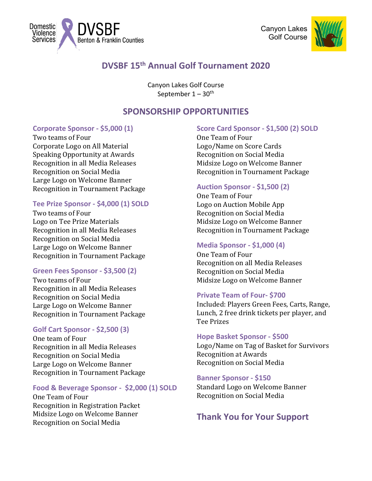



# **DVSBF 15th Annual Golf Tournament 2020**

Canyon Lakes Golf Course September  $1 - 30$ <sup>th</sup>

## **SPONSORSHIP OPPORTUNITIES**

#### **Corporate Sponsor - \$5,000 (1)**

Benton & Franklin Counties

Domestic Violence **Services** 

Two teams of Four Corporate Logo on All Material Speaking Opportunity at Awards Recognition in all Media Releases Recognition on Social Media Large Logo on Welcome Banner Recognition in Tournament Package

#### **Tee Prize Sponsor - \$4,000 (1) SOLD**

Two teams of Four Logo on Tee Prize Materials Recognition in all Media Releases Recognition on Social Media Large Logo on Welcome Banner Recognition in Tournament Package

#### **Green Fees Sponsor - \$3,500 (2)**

Two teams of Four Recognition in all Media Releases Recognition on Social Media Large Logo on Welcome Banner Recognition in Tournament Package

### **Golf Cart Sponsor - \$2,500 (3)**

One team of Four Recognition in all Media Releases Recognition on Social Media Large Logo on Welcome Banner Recognition in Tournament Package

#### **Food & Beverage Sponsor - \$2,000 (1) SOLD**

One Team of Four Recognition in Registration Packet Midsize Logo on Welcome Banner Recognition on Social Media

#### **Score Card Sponsor - \$1,500 (2) SOLD**

One Team of Four Logo/Name on Score Cards Recognition on Social Media Midsize Logo on Welcome Banner Recognition in Tournament Package

#### **Auction Sponsor - \$1,500 (2)**

One Team of Four Logo on Auction Mobile App Recognition on Social Media Midsize Logo on Welcome Banner Recognition in Tournament Package

#### **Media Sponsor - \$1,000 (4)**

One Team of Four Recognition on all Media Releases Recognition on Social Media Midsize Logo on Welcome Banner

#### **Private Team of Four- \$700**

Included: Players Green Fees, Carts, Range, Lunch, 2 free drink tickets per player, and Tee Prizes

#### **Hope Basket Sponsor - \$500**

Logo/Name on Tag of Basket for Survivors Recognition at Awards Recognition on Social Media

#### **Banner Sponsor - \$150**

Standard Logo on Welcome Banner Recognition on Social Media

## **Thank You for Your Support**